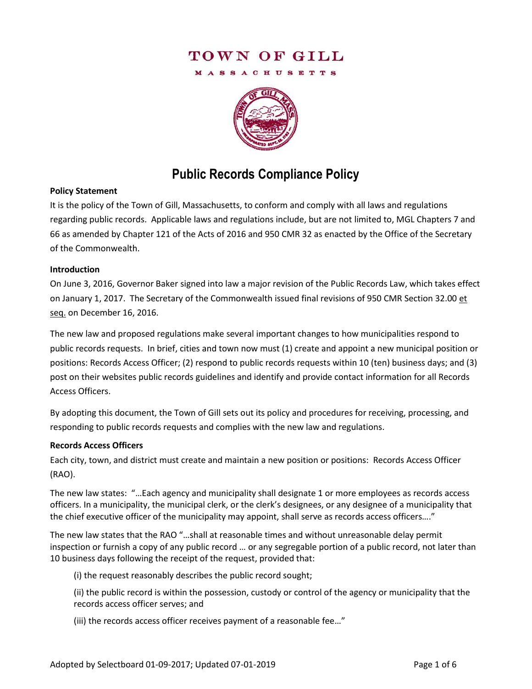# TOWN OF GILL

**MASSACHUSETTS** 



# **Public Records Compliance Policy**

### **Policy Statement**

It is the policy of the Town of Gill, Massachusetts, to conform and comply with all laws and regulations regarding public records. Applicable laws and regulations include, but are not limited to, MGL Chapters 7 and 66 as amended by Chapter 121 of the Acts of 2016 and 950 CMR 32 as enacted by the Office of the Secretary of the Commonwealth.

#### **Introduction**

On June 3, 2016, Governor Baker signed into law a major revision of the Public Records Law, which takes effect on January 1, 2017. The Secretary of the Commonwealth issued final revisions of 950 CMR Section 32.00 et seq. on December 16, 2016.

The new law and proposed regulations make several important changes to how municipalities respond to public records requests. In brief, cities and town now must (1) create and appoint a new municipal position or positions: Records Access Officer; (2) respond to public records requests within 10 (ten) business days; and (3) post on their websites public records guidelines and identify and provide contact information for all Records Access Officers.

By adopting this document, the Town of Gill sets out its policy and procedures for receiving, processing, and responding to public records requests and complies with the new law and regulations.

### **Records Access Officers**

Each city, town, and district must create and maintain a new position or positions: Records Access Officer (RAO).

The new law states: "…Each agency and municipality shall designate 1 or more employees as records access officers. In a municipality, the municipal clerk, or the clerk's designees, or any designee of a municipality that the chief executive officer of the municipality may appoint, shall serve as records access officers…."

The new law states that the RAO "…shall at reasonable times and without unreasonable delay permit inspection or furnish a copy of any public record … or any segregable portion of a public record, not later than 10 business days following the receipt of the request, provided that:

(i) the request reasonably describes the public record sought;

(ii) the public record is within the possession, custody or control of the agency or municipality that the records access officer serves; and

(iii) the records access officer receives payment of a reasonable fee…"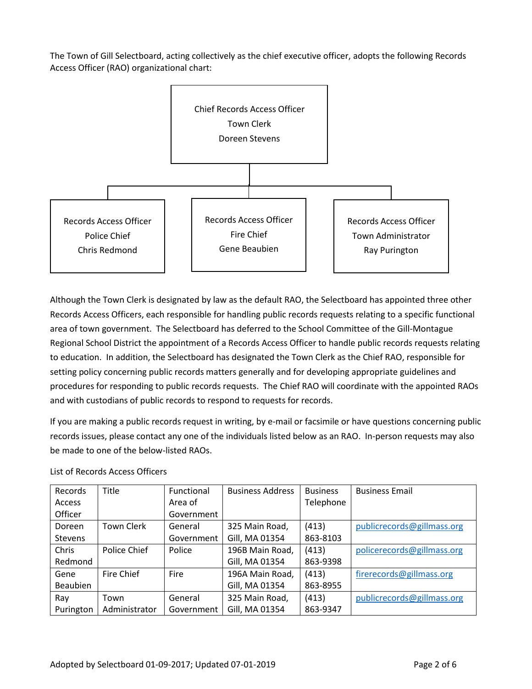The Town of Gill Selectboard, acting collectively as the chief executive officer, adopts the following Records Access Officer (RAO) organizational chart:



Although the Town Clerk is designated by law as the default RAO, the Selectboard has appointed three other Records Access Officers, each responsible for handling public records requests relating to a specific functional area of town government. The Selectboard has deferred to the School Committee of the Gill-Montague Regional School District the appointment of a Records Access Officer to handle public records requests relating to education. In addition, the Selectboard has designated the Town Clerk as the Chief RAO, responsible for setting policy concerning public records matters generally and for developing appropriate guidelines and procedures for responding to public records requests. The Chief RAO will coordinate with the appointed RAOs and with custodians of public records to respond to requests for records.

If you are making a public records request in writing, by e-mail or facsimile or have questions concerning public records issues, please contact any one of the individuals listed below as an RAO. In-person requests may also be made to one of the below-listed RAOs.

| Records         | Title             | Functional  | <b>Business Address</b> | <b>Business</b> | <b>Business Email</b>      |
|-----------------|-------------------|-------------|-------------------------|-----------------|----------------------------|
| Access          |                   | Area of     |                         | Telephone       |                            |
| Officer         |                   | Government  |                         |                 |                            |
| Doreen          | <b>Town Clerk</b> | General     | 325 Main Road,          | (413)           | publicrecords@gillmass.org |
| <b>Stevens</b>  |                   | Government  | Gill, MA 01354          | 863-8103        |                            |
| Chris           | Police Chief      | Police      | 196B Main Road,         | (413)           | policerecords@gillmass.org |
| Redmond         |                   |             | Gill, MA 01354          | 863-9398        |                            |
| Gene            | Fire Chief        | <b>Fire</b> | 196A Main Road,         | (413)           | firerecords@gillmass.org   |
| <b>Beaubien</b> |                   |             | Gill, MA 01354          | 863-8955        |                            |
| Ray             | Town              | General     | 325 Main Road,          | (413)           | publicrecords@gillmass.org |
| Purington       | Administrator     | Government  | Gill, MA 01354          | 863-9347        |                            |

### List of Records Access Officers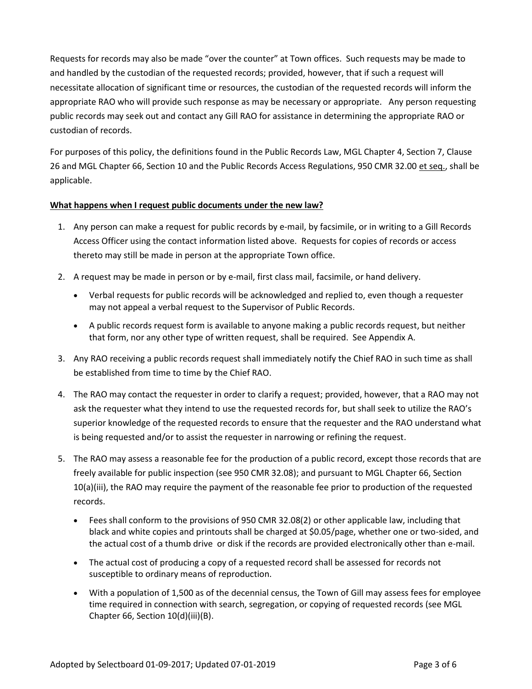Requests for records may also be made "over the counter" at Town offices. Such requests may be made to and handled by the custodian of the requested records; provided, however, that if such a request will necessitate allocation of significant time or resources, the custodian of the requested records will inform the appropriate RAO who will provide such response as may be necessary or appropriate. Any person requesting public records may seek out and contact any Gill RAO for assistance in determining the appropriate RAO or custodian of records.

For purposes of this policy, the definitions found in the Public Records Law, MGL Chapter 4, Section 7, Clause 26 and MGL Chapter 66, Section 10 and the Public Records Access Regulations, 950 CMR 32.00 et seq., shall be applicable.

### **What happens when I request public documents under the new law?**

- 1. Any person can make a request for public records by e-mail, by facsimile, or in writing to a Gill Records Access Officer using the contact information listed above. Requests for copies of records or access thereto may still be made in person at the appropriate Town office.
- 2. A request may be made in person or by e-mail, first class mail, facsimile, or hand delivery.
	- Verbal requests for public records will be acknowledged and replied to, even though a requester may not appeal a verbal request to the Supervisor of Public Records.
	- A public records request form is available to anyone making a public records request, but neither that form, nor any other type of written request, shall be required. See Appendix A.
- 3. Any RAO receiving a public records request shall immediately notify the Chief RAO in such time as shall be established from time to time by the Chief RAO.
- 4. The RAO may contact the requester in order to clarify a request; provided, however, that a RAO may not ask the requester what they intend to use the requested records for, but shall seek to utilize the RAO's superior knowledge of the requested records to ensure that the requester and the RAO understand what is being requested and/or to assist the requester in narrowing or refining the request.
- 5. The RAO may assess a reasonable fee for the production of a public record, except those records that are freely available for public inspection (see 950 CMR 32.08); and pursuant to MGL Chapter 66, Section 10(a)(iii), the RAO may require the payment of the reasonable fee prior to production of the requested records.
	- Fees shall conform to the provisions of 950 CMR 32.08(2) or other applicable law, including that black and white copies and printouts shall be charged at \$0.05/page, whether one or two-sided, and the actual cost of a thumb drive or disk if the records are provided electronically other than e-mail.
	- The actual cost of producing a copy of a requested record shall be assessed for records not susceptible to ordinary means of reproduction.
	- With a population of 1,500 as of the decennial census, the Town of Gill may assess fees for employee time required in connection with search, segregation, or copying of requested records (see MGL Chapter 66, Section 10(d)(iii)(B).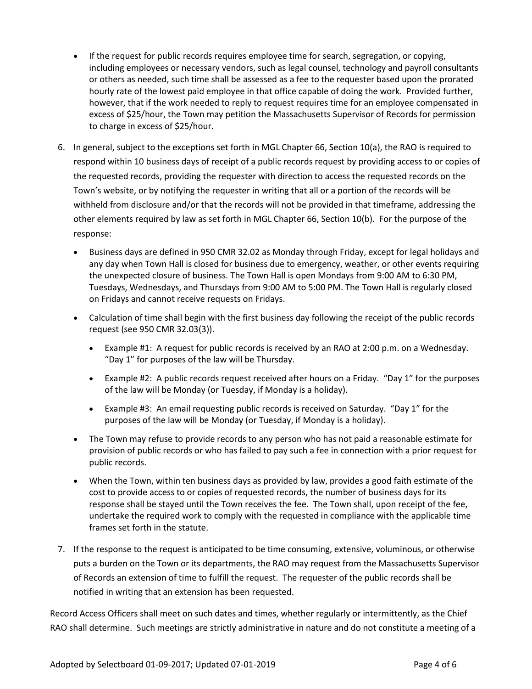- If the request for public records requires employee time for search, segregation, or copying, including employees or necessary vendors, such as legal counsel, technology and payroll consultants or others as needed, such time shall be assessed as a fee to the requester based upon the prorated hourly rate of the lowest paid employee in that office capable of doing the work. Provided further, however, that if the work needed to reply to request requires time for an employee compensated in excess of \$25/hour, the Town may petition the Massachusetts Supervisor of Records for permission to charge in excess of \$25/hour.
- 6. In general, subject to the exceptions set forth in MGL Chapter 66, Section 10(a), the RAO is required to respond within 10 business days of receipt of a public records request by providing access to or copies of the requested records, providing the requester with direction to access the requested records on the Town's website, or by notifying the requester in writing that all or a portion of the records will be withheld from disclosure and/or that the records will not be provided in that timeframe, addressing the other elements required by law as set forth in MGL Chapter 66, Section 10(b). For the purpose of the response:
	- Business days are defined in 950 CMR 32.02 as Monday through Friday, except for legal holidays and any day when Town Hall is closed for business due to emergency, weather, or other events requiring the unexpected closure of business. The Town Hall is open Mondays from 9:00 AM to 6:30 PM, Tuesdays, Wednesdays, and Thursdays from 9:00 AM to 5:00 PM. The Town Hall is regularly closed on Fridays and cannot receive requests on Fridays.
	- Calculation of time shall begin with the first business day following the receipt of the public records request (see 950 CMR 32.03(3)).
		- Example #1: A request for public records is received by an RAO at 2:00 p.m. on a Wednesday. "Day 1" for purposes of the law will be Thursday.
		- Example #2: A public records request received after hours on a Friday. "Day 1" for the purposes of the law will be Monday (or Tuesday, if Monday is a holiday).
		- Example #3: An email requesting public records is received on Saturday. "Day 1" for the purposes of the law will be Monday (or Tuesday, if Monday is a holiday).
	- The Town may refuse to provide records to any person who has not paid a reasonable estimate for provision of public records or who has failed to pay such a fee in connection with a prior request for public records.
	- When the Town, within ten business days as provided by law, provides a good faith estimate of the cost to provide access to or copies of requested records, the number of business days for its response shall be stayed until the Town receives the fee. The Town shall, upon receipt of the fee, undertake the required work to comply with the requested in compliance with the applicable time frames set forth in the statute.
- 7. If the response to the request is anticipated to be time consuming, extensive, voluminous, or otherwise puts a burden on the Town or its departments, the RAO may request from the Massachusetts Supervisor of Records an extension of time to fulfill the request. The requester of the public records shall be notified in writing that an extension has been requested.

Record Access Officers shall meet on such dates and times, whether regularly or intermittently, as the Chief RAO shall determine. Such meetings are strictly administrative in nature and do not constitute a meeting of a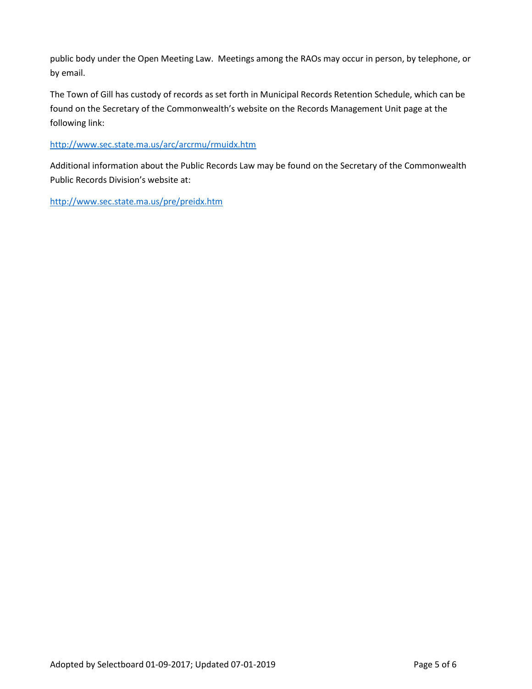public body under the Open Meeting Law. Meetings among the RAOs may occur in person, by telephone, or by email.

The Town of Gill has custody of records as set forth in Municipal Records Retention Schedule, which can be found on the Secretary of the Commonwealth's website on the Records Management Unit page at the following link:

## <http://www.sec.state.ma.us/arc/arcrmu/rmuidx.htm>

Additional information about the Public Records Law may be found on the Secretary of the Commonwealth Public Records Division's website at:

<http://www.sec.state.ma.us/pre/preidx.htm>